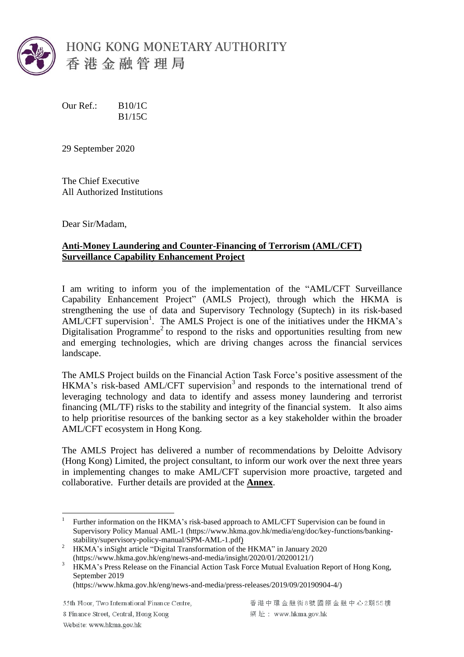

Our Ref.: B10/1C B1/15C

29 September 2020

The Chief Executive All Authorized Institutions

Dear Sir/Madam,

## **Anti-Money Laundering and Counter-Financing of Terrorism (AML/CFT) Surveillance Capability Enhancement Project**

I am writing to inform you of the implementation of the "AML/CFT Surveillance Capability Enhancement Project" (AMLS Project), through which the HKMA is strengthening the use of data and Supervisory Technology (Suptech) in its risk-based  $AML/CFT$  supervision<sup>1</sup>. The AMLS Project is one of the initiatives under the HKMA's Digitalisation Programme<sup>2</sup> to respond to the risks and opportunities resulting from new and emerging technologies, which are driving changes across the financial services landscape.

The AMLS Project builds on the Financial Action Task Force's positive assessment of the HKMA's risk-based AML/CFT supervision<sup>3</sup> and responds to the international trend of leveraging technology and data to identify and assess money laundering and terrorist financing (ML/TF) risks to the stability and integrity of the financial system. It also aims to help prioritise resources of the banking sector as a key stakeholder within the broader AML/CFT ecosystem in Hong Kong.

The AMLS Project has delivered a number of recommendations by Deloitte Advisory (Hong Kong) Limited, the project consultant, to inform our work over the next three years in implementing changes to make AML/CFT supervision more proactive, targeted and collaborative. Further details are provided at the **Annex**.

55th Floor, Two International Finance Centre,

8 Finance Street, Central, Hong Kong Website: www.hkma.gov.hk

 $\frac{1}{1}$ Further information on the HKMA's risk-based approach to AML/CFT Supervision can be found in Supervisory Policy Manual AML-1 [\(https://www.hkma.gov.hk/media/eng/doc/key-functions/banking](https://www.hkma.gov.hk/media/eng/doc/key-functions/banking-stability/supervisory-policy-manual/SPM-AML-1.pdf)[stability/supervisory-policy-manual/SPM-AML-1.pdf\)](https://www.hkma.gov.hk/media/eng/doc/key-functions/banking-stability/supervisory-policy-manual/SPM-AML-1.pdf)

<sup>2</sup> HKMA's inSight article "Digital Transformation of the HKMA" in January 2020 [\(https://www.hkma.gov.hk/eng/news-and-media/insight/2020/01/20200121/\)](https://www.hkma.gov.hk/eng/news-and-media/insight/2020/01/20200121/)

<sup>3</sup> HKMA's Press Release on the Financial Action Task Force Mutual Evaluation Report of Hong Kong, September 2019

[<sup>\(</sup>https://www.hkma.gov.hk/eng/news-and-media/press-releases/2019/09/20190904-4/\)](https://www.hkma.gov.hk/eng/news-and-media/press-releases/2019/09/20190904-4/)